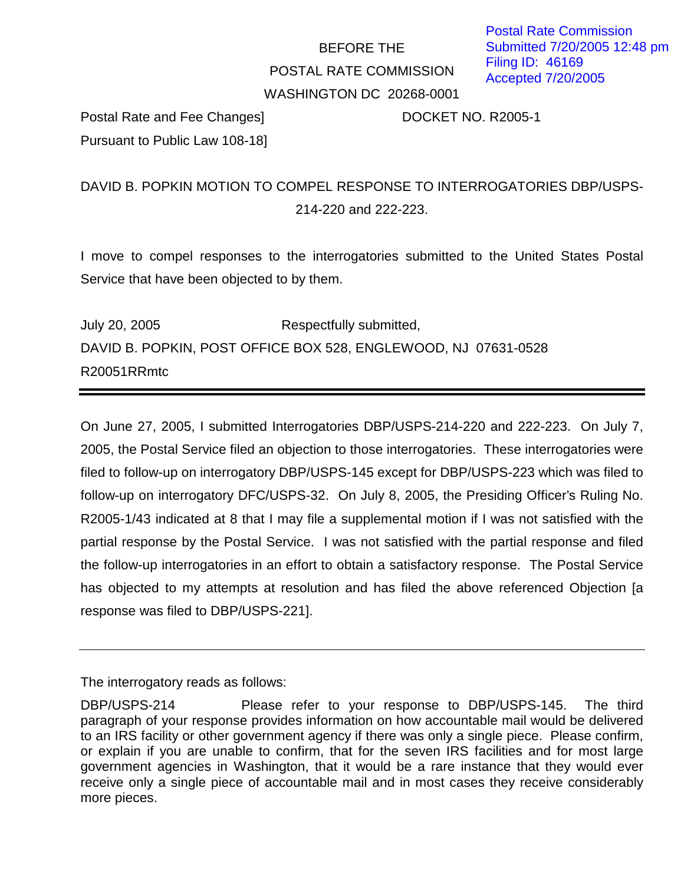## BEFORE THE POSTAL RATE COMMISSION WASHINGTON DC 20268-0001

Postal Rate and Fee Changes] DOCKET NO. R2005-1 Pursuant to Public Law 108-18]

## DAVID B. POPKIN MOTION TO COMPEL RESPONSE TO INTERROGATORIES DBP/USPS-214-220 and 222-223.

I move to compel responses to the interrogatories submitted to the United States Postal Service that have been objected to by them.

July 20, 2005 Respectfully submitted, DAVID B. POPKIN, POST OFFICE BOX 528, ENGLEWOOD, NJ 07631-0528 R20051RRmtc

On June 27, 2005, I submitted Interrogatories DBP/USPS-214-220 and 222-223. On July 7, 2005, the Postal Service filed an objection to those interrogatories. These interrogatories were filed to follow-up on interrogatory DBP/USPS-145 except for DBP/USPS-223 which was filed to follow-up on interrogatory DFC/USPS-32. On July 8, 2005, the Presiding Officer's Ruling No. R2005-1/43 indicated at 8 that I may file a supplemental motion if I was not satisfied with the partial response by the Postal Service. I was not satisfied with the partial response and filed the follow-up interrogatories in an effort to obtain a satisfactory response. The Postal Service has objected to my attempts at resolution and has filed the above referenced Objection [a response was filed to DBP/USPS-221].

The interrogatory reads as follows:

DBP/USPS-214 Please refer to your response to DBP/USPS-145. The third paragraph of your response provides information on how accountable mail would be delivered to an IRS facility or other government agency if there was only a single piece. Please confirm, or explain if you are unable to confirm, that for the seven IRS facilities and for most large government agencies in Washington, that it would be a rare instance that they would ever receive only a single piece of accountable mail and in most cases they receive considerably more pieces.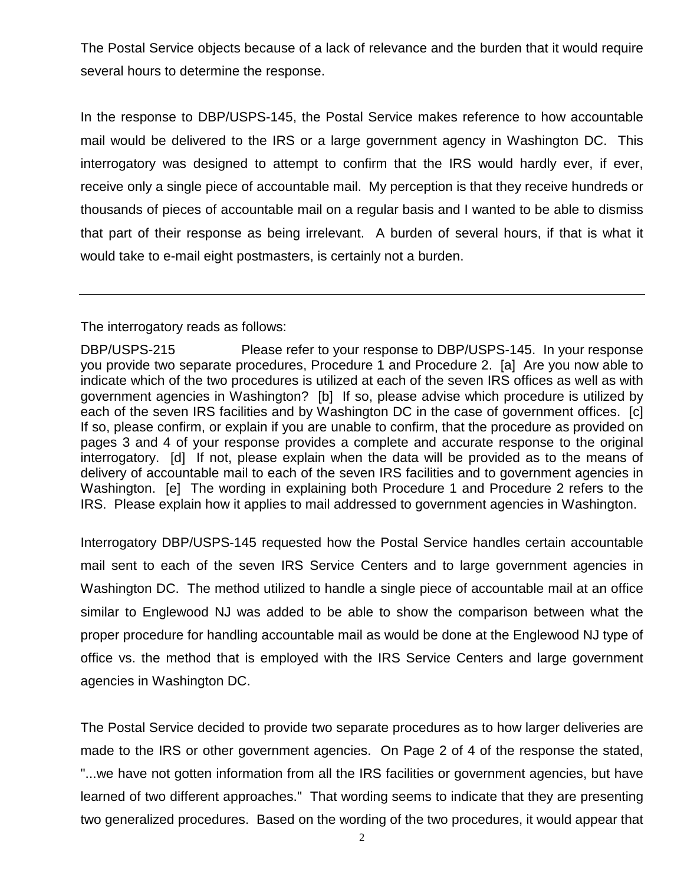The Postal Service objects because of a lack of relevance and the burden that it would require several hours to determine the response.

In the response to DBP/USPS-145, the Postal Service makes reference to how accountable mail would be delivered to the IRS or a large government agency in Washington DC. This interrogatory was designed to attempt to confirm that the IRS would hardly ever, if ever, receive only a single piece of accountable mail. My perception is that they receive hundreds or thousands of pieces of accountable mail on a regular basis and I wanted to be able to dismiss that part of their response as being irrelevant. A burden of several hours, if that is what it would take to e-mail eight postmasters, is certainly not a burden.

The interrogatory reads as follows:

Interrogatory DBP/USPS-145 requested how the Postal Service handles certain accountable mail sent to each of the seven IRS Service Centers and to large government agencies in Washington DC. The method utilized to handle a single piece of accountable mail at an office similar to Englewood NJ was added to be able to show the comparison between what the proper procedure for handling accountable mail as would be done at the Englewood NJ type of office vs. the method that is employed with the IRS Service Centers and large government agencies in Washington DC.

The Postal Service decided to provide two separate procedures as to how larger deliveries are made to the IRS or other government agencies. On Page 2 of 4 of the response the stated, "...we have not gotten information from all the IRS facilities or government agencies, but have learned of two different approaches." That wording seems to indicate that they are presenting two generalized procedures. Based on the wording of the two procedures, it would appear that

DBP/USPS-215 Please refer to your response to DBP/USPS-145. In your response you provide two separate procedures, Procedure 1 and Procedure 2. [a] Are you now able to indicate which of the two procedures is utilized at each of the seven IRS offices as well as with government agencies in Washington? [b] If so, please advise which procedure is utilized by each of the seven IRS facilities and by Washington DC in the case of government offices. [c] If so, please confirm, or explain if you are unable to confirm, that the procedure as provided on pages 3 and 4 of your response provides a complete and accurate response to the original interrogatory. [d] If not, please explain when the data will be provided as to the means of delivery of accountable mail to each of the seven IRS facilities and to government agencies in Washington. [e] The wording in explaining both Procedure 1 and Procedure 2 refers to the IRS. Please explain how it applies to mail addressed to government agencies in Washington.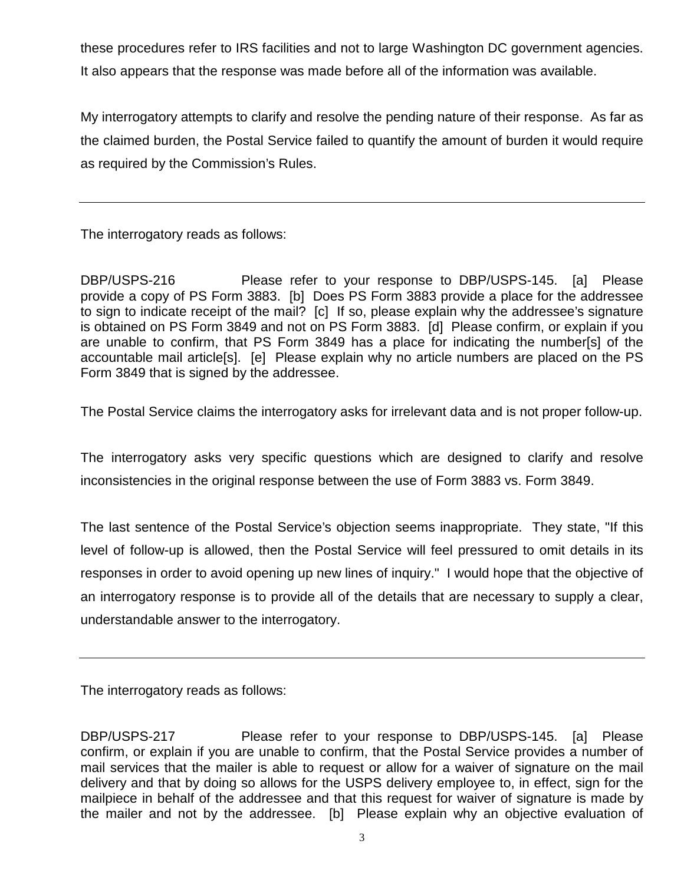these procedures refer to IRS facilities and not to large Washington DC government agencies. It also appears that the response was made before all of the information was available.

My interrogatory attempts to clarify and resolve the pending nature of their response. As far as the claimed burden, the Postal Service failed to quantify the amount of burden it would require as required by the Commission's Rules.

The interrogatory reads as follows:

DBP/USPS-216 Please refer to your response to DBP/USPS-145. [a] Please provide a copy of PS Form 3883. [b] Does PS Form 3883 provide a place for the addressee to sign to indicate receipt of the mail? [c] If so, please explain why the addressee's signature is obtained on PS Form 3849 and not on PS Form 3883. [d] Please confirm, or explain if you are unable to confirm, that PS Form 3849 has a place for indicating the number[s] of the accountable mail article[s]. [e] Please explain why no article numbers are placed on the PS Form 3849 that is signed by the addressee.

The Postal Service claims the interrogatory asks for irrelevant data and is not proper follow-up.

The interrogatory asks very specific questions which are designed to clarify and resolve inconsistencies in the original response between the use of Form 3883 vs. Form 3849.

The last sentence of the Postal Service's objection seems inappropriate. They state, "If this level of follow-up is allowed, then the Postal Service will feel pressured to omit details in its responses in order to avoid opening up new lines of inquiry." I would hope that the objective of an interrogatory response is to provide all of the details that are necessary to supply a clear, understandable answer to the interrogatory.

The interrogatory reads as follows:

DBP/USPS-217 Please refer to your response to DBP/USPS-145. [a] Please confirm, or explain if you are unable to confirm, that the Postal Service provides a number of mail services that the mailer is able to request or allow for a waiver of signature on the mail delivery and that by doing so allows for the USPS delivery employee to, in effect, sign for the mailpiece in behalf of the addressee and that this request for waiver of signature is made by the mailer and not by the addressee. [b] Please explain why an objective evaluation of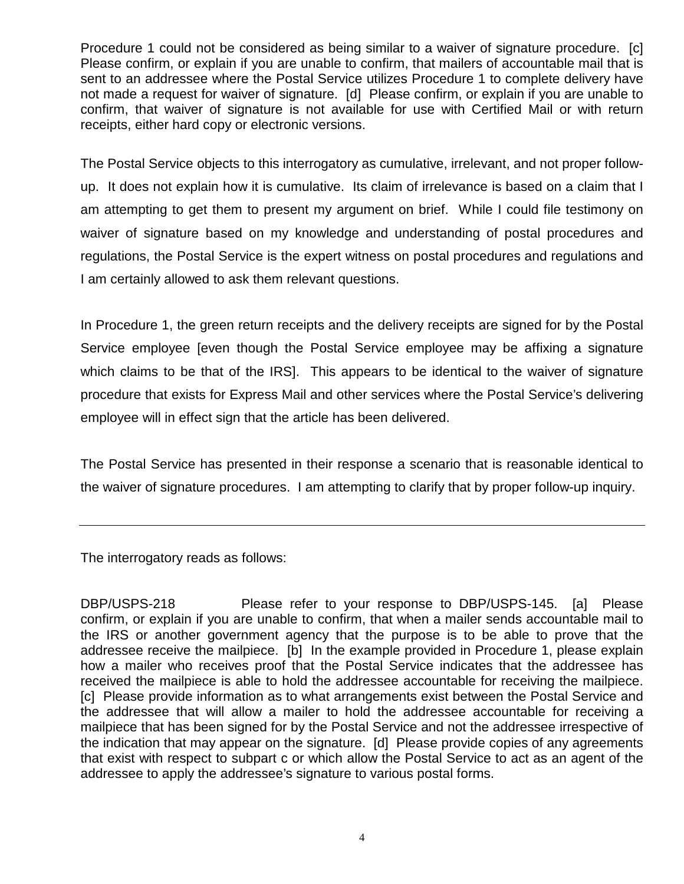Procedure 1 could not be considered as being similar to a waiver of signature procedure. [c] Please confirm, or explain if you are unable to confirm, that mailers of accountable mail that is sent to an addressee where the Postal Service utilizes Procedure 1 to complete delivery have not made a request for waiver of signature. [d] Please confirm, or explain if you are unable to confirm, that waiver of signature is not available for use with Certified Mail or with return receipts, either hard copy or electronic versions.

The Postal Service objects to this interrogatory as cumulative, irrelevant, and not proper followup. It does not explain how it is cumulative. Its claim of irrelevance is based on a claim that I am attempting to get them to present my argument on brief. While I could file testimony on waiver of signature based on my knowledge and understanding of postal procedures and regulations, the Postal Service is the expert witness on postal procedures and regulations and I am certainly allowed to ask them relevant questions.

In Procedure 1, the green return receipts and the delivery receipts are signed for by the Postal Service employee [even though the Postal Service employee may be affixing a signature which claims to be that of the IRS. This appears to be identical to the waiver of signature procedure that exists for Express Mail and other services where the Postal Service's delivering employee will in effect sign that the article has been delivered.

The Postal Service has presented in their response a scenario that is reasonable identical to the waiver of signature procedures. I am attempting to clarify that by proper follow-up inquiry.

The interrogatory reads as follows:

DBP/USPS-218 Please refer to your response to DBP/USPS-145. [a] Please confirm, or explain if you are unable to confirm, that when a mailer sends accountable mail to the IRS or another government agency that the purpose is to be able to prove that the addressee receive the mailpiece. [b] In the example provided in Procedure 1, please explain how a mailer who receives proof that the Postal Service indicates that the addressee has received the mailpiece is able to hold the addressee accountable for receiving the mailpiece. [c] Please provide information as to what arrangements exist between the Postal Service and the addressee that will allow a mailer to hold the addressee accountable for receiving a mailpiece that has been signed for by the Postal Service and not the addressee irrespective of the indication that may appear on the signature. [d] Please provide copies of any agreements that exist with respect to subpart c or which allow the Postal Service to act as an agent of the addressee to apply the addressee's signature to various postal forms.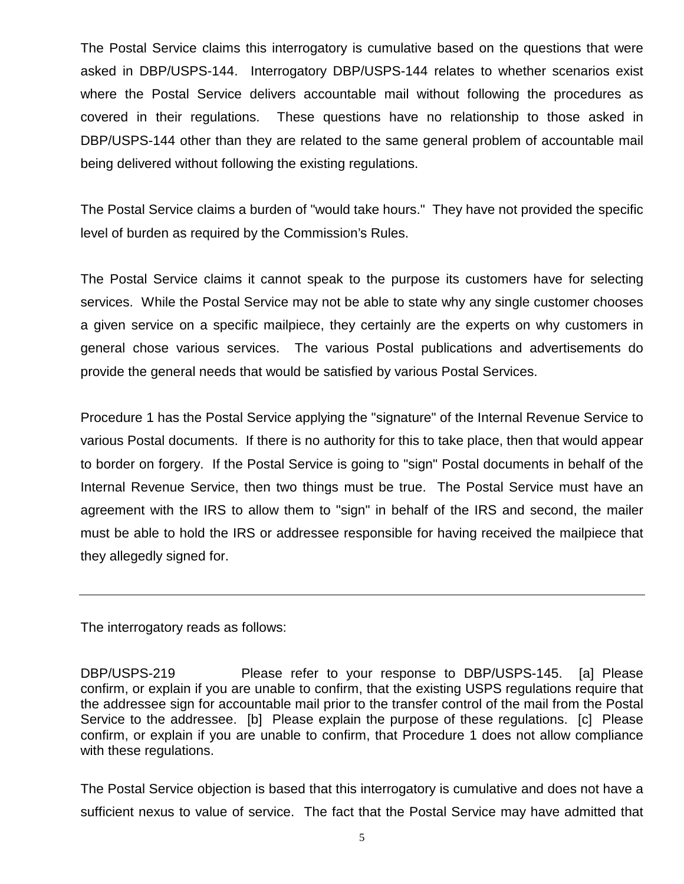The Postal Service claims this interrogatory is cumulative based on the questions that were asked in DBP/USPS-144. Interrogatory DBP/USPS-144 relates to whether scenarios exist where the Postal Service delivers accountable mail without following the procedures as covered in their regulations. These questions have no relationship to those asked in DBP/USPS-144 other than they are related to the same general problem of accountable mail being delivered without following the existing regulations.

The Postal Service claims a burden of "would take hours." They have not provided the specific level of burden as required by the Commission's Rules.

The Postal Service claims it cannot speak to the purpose its customers have for selecting services. While the Postal Service may not be able to state why any single customer chooses a given service on a specific mailpiece, they certainly are the experts on why customers in general chose various services. The various Postal publications and advertisements do provide the general needs that would be satisfied by various Postal Services.

Procedure 1 has the Postal Service applying the "signature" of the Internal Revenue Service to various Postal documents. If there is no authority for this to take place, then that would appear to border on forgery. If the Postal Service is going to "sign" Postal documents in behalf of the Internal Revenue Service, then two things must be true. The Postal Service must have an agreement with the IRS to allow them to "sign" in behalf of the IRS and second, the mailer must be able to hold the IRS or addressee responsible for having received the mailpiece that they allegedly signed for.

The interrogatory reads as follows:

DBP/USPS-219 Please refer to your response to DBP/USPS-145. [a] Please confirm, or explain if you are unable to confirm, that the existing USPS regulations require that the addressee sign for accountable mail prior to the transfer control of the mail from the Postal Service to the addressee. [b] Please explain the purpose of these regulations. [c] Please confirm, or explain if you are unable to confirm, that Procedure 1 does not allow compliance with these regulations.

The Postal Service objection is based that this interrogatory is cumulative and does not have a sufficient nexus to value of service. The fact that the Postal Service may have admitted that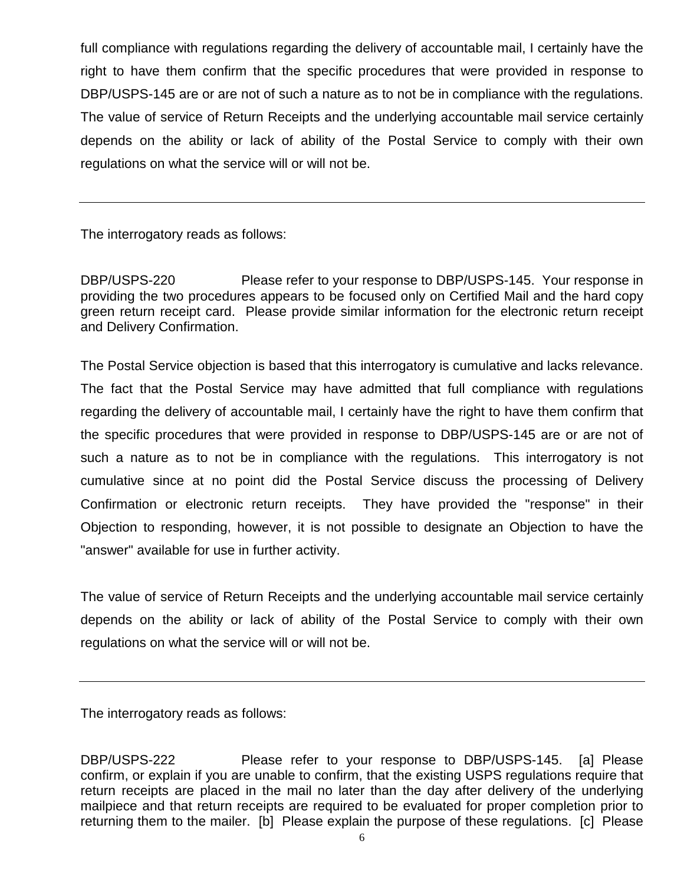full compliance with regulations regarding the delivery of accountable mail, I certainly have the right to have them confirm that the specific procedures that were provided in response to DBP/USPS-145 are or are not of such a nature as to not be in compliance with the regulations. The value of service of Return Receipts and the underlying accountable mail service certainly depends on the ability or lack of ability of the Postal Service to comply with their own regulations on what the service will or will not be.

The interrogatory reads as follows:

DBP/USPS-220 Please refer to your response to DBP/USPS-145. Your response in providing the two procedures appears to be focused only on Certified Mail and the hard copy green return receipt card. Please provide similar information for the electronic return receipt and Delivery Confirmation.

The Postal Service objection is based that this interrogatory is cumulative and lacks relevance. The fact that the Postal Service may have admitted that full compliance with regulations regarding the delivery of accountable mail, I certainly have the right to have them confirm that the specific procedures that were provided in response to DBP/USPS-145 are or are not of such a nature as to not be in compliance with the regulations. This interrogatory is not cumulative since at no point did the Postal Service discuss the processing of Delivery Confirmation or electronic return receipts. They have provided the "response" in their Objection to responding, however, it is not possible to designate an Objection to have the "answer" available for use in further activity.

The value of service of Return Receipts and the underlying accountable mail service certainly depends on the ability or lack of ability of the Postal Service to comply with their own regulations on what the service will or will not be.

The interrogatory reads as follows:

DBP/USPS-222 Please refer to your response to DBP/USPS-145. [a] Please confirm, or explain if you are unable to confirm, that the existing USPS regulations require that return receipts are placed in the mail no later than the day after delivery of the underlying mailpiece and that return receipts are required to be evaluated for proper completion prior to returning them to the mailer. [b] Please explain the purpose of these regulations. [c] Please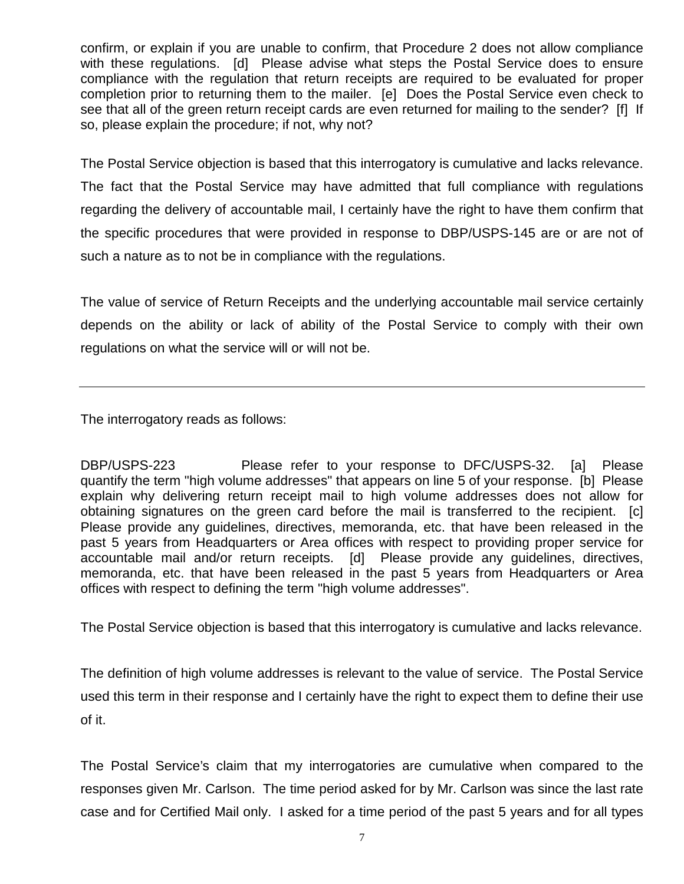confirm, or explain if you are unable to confirm, that Procedure 2 does not allow compliance with these regulations. [d] Please advise what steps the Postal Service does to ensure compliance with the regulation that return receipts are required to be evaluated for proper completion prior to returning them to the mailer. [e] Does the Postal Service even check to see that all of the green return receipt cards are even returned for mailing to the sender? [f] If so, please explain the procedure; if not, why not?

The Postal Service objection is based that this interrogatory is cumulative and lacks relevance. The fact that the Postal Service may have admitted that full compliance with regulations regarding the delivery of accountable mail, I certainly have the right to have them confirm that the specific procedures that were provided in response to DBP/USPS-145 are or are not of such a nature as to not be in compliance with the regulations.

The value of service of Return Receipts and the underlying accountable mail service certainly depends on the ability or lack of ability of the Postal Service to comply with their own regulations on what the service will or will not be.

The interrogatory reads as follows:

DBP/USPS-223 Please refer to your response to DFC/USPS-32. [a] Please quantify the term "high volume addresses" that appears on line 5 of your response. [b] Please explain why delivering return receipt mail to high volume addresses does not allow for obtaining signatures on the green card before the mail is transferred to the recipient. [c] Please provide any guidelines, directives, memoranda, etc. that have been released in the past 5 years from Headquarters or Area offices with respect to providing proper service for accountable mail and/or return receipts. [d] Please provide any guidelines, directives, memoranda, etc. that have been released in the past 5 years from Headquarters or Area offices with respect to defining the term "high volume addresses".

The Postal Service objection is based that this interrogatory is cumulative and lacks relevance.

The definition of high volume addresses is relevant to the value of service. The Postal Service used this term in their response and I certainly have the right to expect them to define their use of it.

The Postal Service's claim that my interrogatories are cumulative when compared to the responses given Mr. Carlson. The time period asked for by Mr. Carlson was since the last rate case and for Certified Mail only. I asked for a time period of the past 5 years and for all types